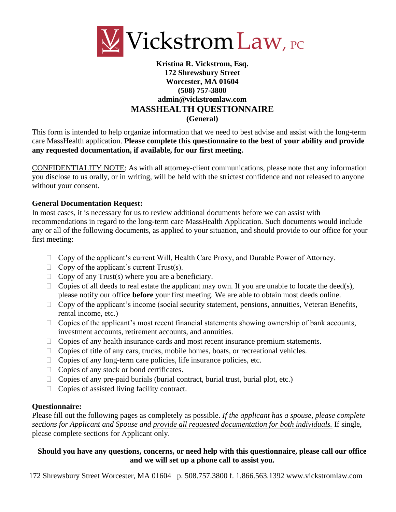

## **Kristina R. Vickstrom, Esq. 172 Shrewsbury Street Worcester, MA 01604 (508) 757-3800 admin@vickstromlaw.com MASSHEALTH QUESTIONNAIRE (General)**

This form is intended to help organize information that we need to best advise and assist with the long-term care MassHealth application. **Please complete this questionnaire to the best of your ability and provide any requested documentation, if available, for our first meeting.** 

CONFIDENTIALITY NOTE: As with all attorney-client communications, please note that any information you disclose to us orally, or in writing, will be held with the strictest confidence and not released to anyone without your consent.

#### **General Documentation Request:**

In most cases, it is necessary for us to review additional documents before we can assist with recommendations in regard to the long-term care MassHealth Application. Such documents would include any or all of the following documents, as applied to your situation, and should provide to our office for your first meeting:

- $\Box$  Copy of the applicant's current Will, Health Care Proxy, and Durable Power of Attorney.
- $\Box$  Copy of the applicant's current Trust(s).
- $\Box$  Copy of any Trust(s) where you are a beneficiary.
- $\Box$  Copies of all deeds to real estate the applicant may own. If you are unable to locate the deed(s), please notify our office **before** your first meeting. We are able to obtain most deeds online.
- $\Box$  Copy of the applicant's income (social security statement, pensions, annuities, Veteran Benefits, rental income, etc.)
- $\Box$  Copies of the applicant's most recent financial statements showing ownership of bank accounts, investment accounts, retirement accounts, and annuities.
- $\Box$  Copies of any health insurance cards and most recent insurance premium statements.
- $\Box$  Copies of title of any cars, trucks, mobile homes, boats, or recreational vehicles.
- $\Box$  Copies of any long-term care policies, life insurance policies, etc.
- $\Box$  Copies of any stock or bond certificates.
- $\Box$  Copies of any pre-paid burials (burial contract, burial trust, burial plot, etc.)
- $\Box$  Copies of assisted living facility contract.

#### **Questionnaire:**

Please fill out the following pages as completely as possible. *If the applicant has a spouse, please complete sections for Applicant and Spouse and provide all requested documentation for both individuals.* If single, please complete sections for Applicant only.

## **Should you have any questions, concerns, or need help with this questionnaire, please call our office and we will set up a phone call to assist you.**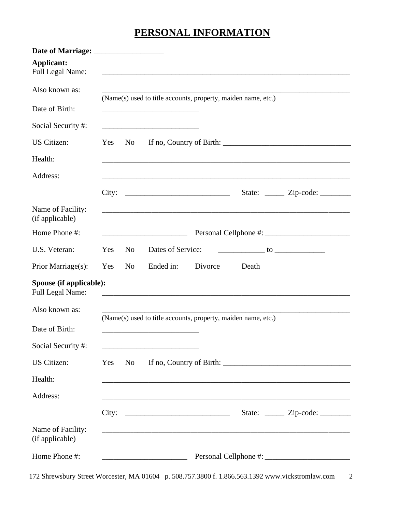# **PERSONAL INFORMATION**

| <b>Applicant:</b><br>Full Legal Name:       |            |                |                                                                                                                      |         |       |                                          |
|---------------------------------------------|------------|----------------|----------------------------------------------------------------------------------------------------------------------|---------|-------|------------------------------------------|
| Also known as:                              |            |                |                                                                                                                      |         |       |                                          |
| Date of Birth:                              |            |                | (Name(s) used to title accounts, property, maiden name, etc.)                                                        |         |       |                                          |
| Social Security #:                          |            |                | <u> 1989 - Johann Barn, mars eta bat erroman erroman erroman erroman erroman erroman erroman erroman erroman err</u> |         |       |                                          |
| <b>US</b> Citizen:                          | Yes        | No             |                                                                                                                      |         |       |                                          |
| Health:                                     |            |                |                                                                                                                      |         |       |                                          |
| Address:                                    |            |                |                                                                                                                      |         |       |                                          |
|                                             |            |                | City:                                                                                                                |         |       | State: <u>_____</u> Zip-code: _______    |
| Name of Facility:<br>(if applicable)        |            |                | <u> 1989 - Johann Stoff, amerikansk politiker (d. 1989)</u>                                                          |         |       |                                          |
| Home Phone #:                               |            |                |                                                                                                                      |         |       |                                          |
| U.S. Veteran:                               | Yes        | N <sub>0</sub> | Dates of Service:                                                                                                    |         |       |                                          |
| Prior Marriage(s):                          | <b>Yes</b> | N <sub>o</sub> | Ended in:                                                                                                            | Divorce | Death |                                          |
| Spouse (if applicable):<br>Full Legal Name: |            |                |                                                                                                                      |         |       |                                          |
| Also known as:                              |            |                |                                                                                                                      |         |       |                                          |
| Date of Birth:                              |            |                | (Name(s) used to title accounts, property, maiden name, etc.)                                                        |         |       |                                          |
| Social Security #:                          |            |                |                                                                                                                      |         |       |                                          |
| <b>US</b> Citizen:                          | Yes        | No             |                                                                                                                      |         |       |                                          |
| Health:                                     |            |                |                                                                                                                      |         |       |                                          |
| Address:                                    |            |                |                                                                                                                      |         |       |                                          |
|                                             |            |                | City: $\qquad \qquad$                                                                                                |         |       | State: <u>______</u> Zip-code: _________ |
| Name of Facility:<br>(if applicable)        |            |                |                                                                                                                      |         |       |                                          |
| Home Phone #:                               |            |                |                                                                                                                      |         |       |                                          |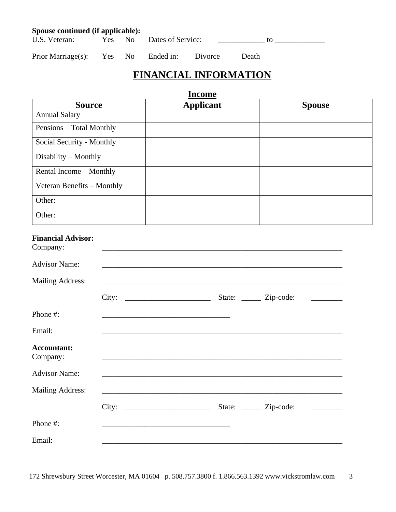| Spouse continued (if applicable): |  |  |                          |         |        |  |
|-----------------------------------|--|--|--------------------------|---------|--------|--|
| U.S. Veteran:                     |  |  | Yes No Dates of Service: |         |        |  |
| Prior Marriage(s): Yes No         |  |  | Ended in:                | Divorce | Death. |  |

## **FINANCIAL INFORMATION**

**Income**

| <b>Source</b>              | <b>Applicant</b> | <b>Spouse</b> |
|----------------------------|------------------|---------------|
| <b>Annual Salary</b>       |                  |               |
| Pensions - Total Monthly   |                  |               |
| Social Security - Monthly  |                  |               |
| $Disability - Monthly$     |                  |               |
| Rental Income – Monthly    |                  |               |
| Veteran Benefits - Monthly |                  |               |
| Other:                     |                  |               |
| Other:                     |                  |               |

| <b>Financial Advisor:</b><br>Company: |                                                                                  |                               |                             |
|---------------------------------------|----------------------------------------------------------------------------------|-------------------------------|-----------------------------|
| <b>Advisor Name:</b>                  | ,我们也不会有什么。""我们的人,我们也不会有什么?""我们的人,我们也不会有什么?""我们的人,我们也不会有什么?""我们的人,我们也不会有什么?""我们的人 |                               |                             |
| <b>Mailing Address:</b>               |                                                                                  |                               |                             |
|                                       | City:                                                                            | State: <u>_____</u> Zip-code: | <u> 1999 - Jan Jan Jawa</u> |
| Phone #:                              |                                                                                  |                               |                             |
| Email:                                |                                                                                  |                               |                             |
| <b>Accountant:</b><br>Company:        |                                                                                  |                               |                             |
| <b>Advisor Name:</b>                  |                                                                                  |                               |                             |
| <b>Mailing Address:</b>               | <u> 1980 - John Stoff, amerikansk politiker (d. 1980)</u>                        |                               |                             |
|                                       | City:                                                                            | State: <u>_____</u> Zip-code: |                             |
| Phone #:                              |                                                                                  |                               |                             |
| Email:                                |                                                                                  |                               |                             |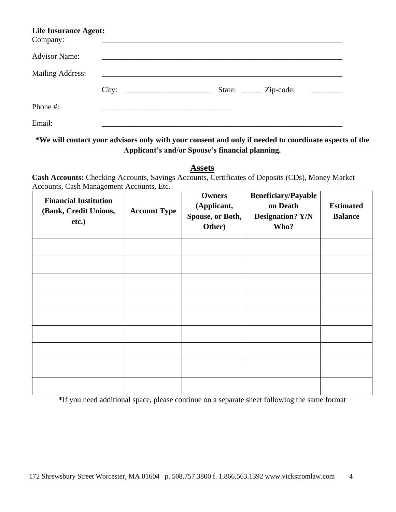| <b>Life Insurance Agent:</b><br>Company: |       |                                                          |                          |  |
|------------------------------------------|-------|----------------------------------------------------------|--------------------------|--|
| <b>Advisor Name:</b>                     |       |                                                          |                          |  |
| <b>Mailing Address:</b>                  |       |                                                          |                          |  |
|                                          | City: | <u> 1980 - Jan Stein Stein, fransk politik (f. 1980)</u> | State: <u>Zip-code</u> : |  |
| Phone #:                                 |       |                                                          |                          |  |
| Email:                                   |       |                                                          |                          |  |

**\*We will contact your advisors only with your consent and only if needed to coordinate aspects of the Applicant's and/or Spouse's financial planning.**

**Assets**

**Cash Accounts:** Checking Accounts, Savings Accounts, Certificates of Deposits (CDs), Money Market Accounts, Cash Management Accounts, Etc.

| <b>Financial Institution</b><br>(Bank, Credit Unions,<br>etc.) | <b>Account Type</b> | <b>Owners</b><br>(Applicant,<br>Spouse, or Both,<br>Other) | <b>Beneficiary/Payable</b><br>on Death<br><b>Designation? Y/N</b><br>Who? | <b>Estimated</b><br><b>Balance</b> |
|----------------------------------------------------------------|---------------------|------------------------------------------------------------|---------------------------------------------------------------------------|------------------------------------|
|                                                                |                     |                                                            |                                                                           |                                    |
|                                                                |                     |                                                            |                                                                           |                                    |
|                                                                |                     |                                                            |                                                                           |                                    |
|                                                                |                     |                                                            |                                                                           |                                    |
|                                                                |                     |                                                            |                                                                           |                                    |
|                                                                |                     |                                                            |                                                                           |                                    |
|                                                                |                     |                                                            |                                                                           |                                    |
|                                                                |                     |                                                            |                                                                           |                                    |
|                                                                |                     |                                                            |                                                                           |                                    |

**\***If you need additional space, please continue on a separate sheet following the same format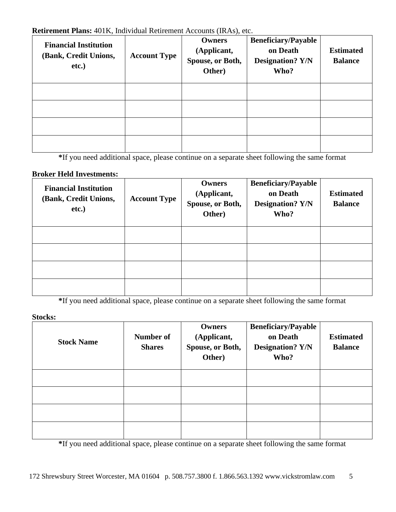#### **Retirement Plans:** 401K, Individual Retirement Accounts (IRAs), etc.

| <b>Financial Institution</b><br>(Bank, Credit Unions,<br>$etc.$ ) | <b>Account Type</b> | <b>Owners</b><br>(Applicant,<br>Spouse, or Both,<br>Other) | <b>Beneficiary/Payable</b><br>on Death<br><b>Designation? Y/N</b><br>Who? | <b>Estimated</b><br><b>Balance</b> |
|-------------------------------------------------------------------|---------------------|------------------------------------------------------------|---------------------------------------------------------------------------|------------------------------------|
|                                                                   |                     |                                                            |                                                                           |                                    |
|                                                                   |                     |                                                            |                                                                           |                                    |
|                                                                   |                     |                                                            |                                                                           |                                    |
|                                                                   |                     |                                                            |                                                                           |                                    |

**\***If you need additional space, please continue on a separate sheet following the same format

## **Broker Held Investments:**

| <b>Financial Institution</b><br>(Bank, Credit Unions,<br>etc.) | <b>Account Type</b> | <b>Owners</b><br>(Applicant,<br>Spouse, or Both,<br>Other) | <b>Beneficiary/Payable</b><br>on Death<br><b>Designation? Y/N</b><br>Who? | <b>Estimated</b><br><b>Balance</b> |
|----------------------------------------------------------------|---------------------|------------------------------------------------------------|---------------------------------------------------------------------------|------------------------------------|
|                                                                |                     |                                                            |                                                                           |                                    |
|                                                                |                     |                                                            |                                                                           |                                    |
|                                                                |                     |                                                            |                                                                           |                                    |
|                                                                |                     |                                                            |                                                                           |                                    |

**\***If you need additional space, please continue on a separate sheet following the same format

## **Stocks:**

| <b>Stock Name</b> | Number of<br><b>Shares</b> | Owners<br>(Applicant,<br>Spouse, or Both,<br>Other) | <b>Beneficiary/Payable</b><br>on Death<br><b>Designation? Y/N</b><br>Who? | <b>Estimated</b><br><b>Balance</b> |
|-------------------|----------------------------|-----------------------------------------------------|---------------------------------------------------------------------------|------------------------------------|
|                   |                            |                                                     |                                                                           |                                    |
|                   |                            |                                                     |                                                                           |                                    |
|                   |                            |                                                     |                                                                           |                                    |
|                   |                            |                                                     |                                                                           |                                    |

**\***If you need additional space, please continue on a separate sheet following the same format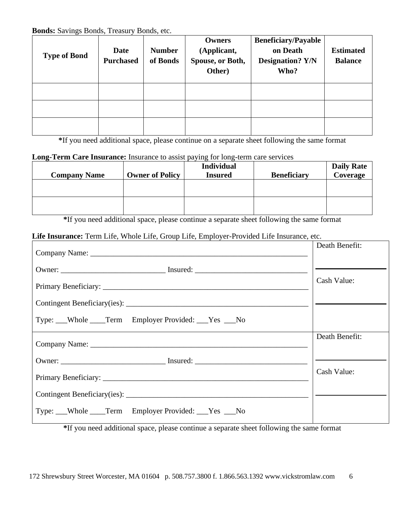**Bonds:** Savings Bonds, Treasury Bonds, etc.

| <b>Type of Bond</b> | Date<br><b>Purchased</b> | <b>Number</b><br>of Bonds | Owners<br>(Applicant,<br>Spouse, or Both,<br>Other) | <b>Beneficiary/Payable</b><br>on Death<br><b>Designation? Y/N</b><br>Who? | <b>Estimated</b><br><b>Balance</b> |
|---------------------|--------------------------|---------------------------|-----------------------------------------------------|---------------------------------------------------------------------------|------------------------------------|
|                     |                          |                           |                                                     |                                                                           |                                    |
|                     |                          |                           |                                                     |                                                                           |                                    |
|                     |                          |                           |                                                     |                                                                           |                                    |

**\***If you need additional space, please continue on a separate sheet following the same format

#### **Long-Term Care Insurance:** Insurance to assist paying for long-term care services

|                        | <b>Individual</b> |                    | <b>Daily Rate</b> |
|------------------------|-------------------|--------------------|-------------------|
| <b>Owner of Policy</b> | <b>Insured</b>    | <b>Beneficiary</b> | Coverage          |
|                        |                   |                    |                   |
|                        |                   |                    |                   |
|                        |                   |                    |                   |
|                        |                   |                    |                   |
|                        |                   |                    |                   |

**\***If you need additional space, please continue a separate sheet following the same format

## **Life Insurance:** Term Life, Whole Life, Group Life, Employer-Provided Life Insurance, etc.

|                                                                                  | Death Benefit: |
|----------------------------------------------------------------------------------|----------------|
| Owner: ___________________________________ Insured: ____________________________ |                |
|                                                                                  | Cash Value:    |
|                                                                                  |                |
| Type: Whole Term Employer Provided: Yes No                                       |                |
|                                                                                  | Death Benefit: |
|                                                                                  |                |
|                                                                                  | Cash Value:    |
|                                                                                  |                |
| Type: Whole Term Employer Provided: Yes No                                       |                |

**\***If you need additional space, please continue a separate sheet following the same format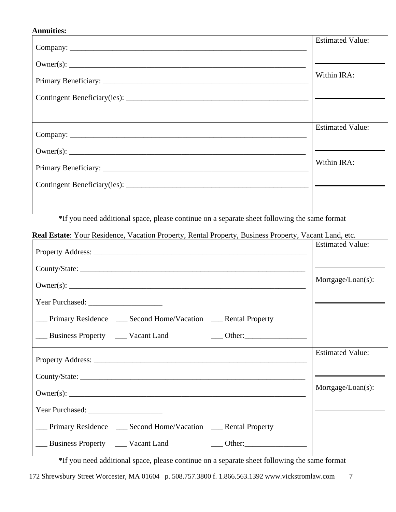### **Annuities:**

| <b>Estimated Value:</b> |
|-------------------------|
|                         |
| Within IRA:             |
|                         |
|                         |
| <b>Estimated Value:</b> |
|                         |
| Within IRA:             |
|                         |
|                         |

**\***If you need additional space, please continue on a separate sheet following the same format

 $\overline{\phantom{0}}$ 

**Real Estate**: Your Residence, Vacation Property, Rental Property, Business Property, Vacant Land, etc.

|                                                                      | <b>Estimated Value:</b> |
|----------------------------------------------------------------------|-------------------------|
|                                                                      |                         |
|                                                                      | Mortgage/Loan(s):       |
|                                                                      |                         |
| ___ Primary Residence ____ Second Home/Vacation ____ Rental Property |                         |
|                                                                      |                         |
|                                                                      | <b>Estimated Value:</b> |
|                                                                      |                         |
|                                                                      | Mortgage/Loan(s):       |
|                                                                      |                         |
| __ Primary Residence __ Second Home/Vacation __ Rental Property      |                         |
| Business Property ______ Vacant Land<br>$\frac{1}{2}$ Other:         |                         |

**\***If you need additional space, please continue on a separate sheet following the same format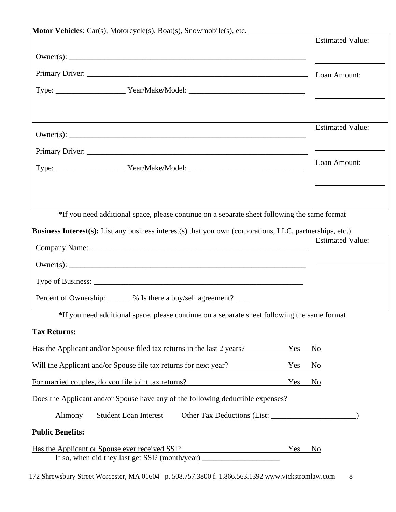#### **Motor Vehicles**: Car(s), Motorcycle(s), Boat(s), Snowmobile(s), etc.

|                                                                                                          | <b>Estimated Value:</b> |
|----------------------------------------------------------------------------------------------------------|-------------------------|
|                                                                                                          |                         |
|                                                                                                          | Loan Amount:            |
|                                                                                                          |                         |
|                                                                                                          |                         |
|                                                                                                          | <b>Estimated Value:</b> |
|                                                                                                          |                         |
| Type: ________________________Year/Make/Model: _________________________________                         | Loan Amount:            |
|                                                                                                          |                         |
| *If you need additional space, please continue on a separate sheet following the same format             |                         |
| Business Interest(s): List any business interest(s) that you own (corporations, LLC, partnerships, etc.) |                         |
|                                                                                                          | <b>Estimated Value:</b> |
|                                                                                                          |                         |
|                                                                                                          |                         |

Percent of Ownership: \_\_\_\_\_\_ % Is there a buy/sell agreement? \_\_\_\_\_

**\***If you need additional space, please continue on a separate sheet following the same format

## **Tax Returns:**

| Has the Applicant and/or Spouse filed tax returns in the last 2 years?                                  | Yes | N <sub>0</sub> |  |
|---------------------------------------------------------------------------------------------------------|-----|----------------|--|
| Will the Applicant and/or Spouse file tax returns for next year?                                        | Yes | N <sub>0</sub> |  |
| For married couples, do you file joint tax returns?                                                     | Yes | N <sub>0</sub> |  |
| Does the Applicant and/or Spouse have any of the following deductible expenses?                         |     |                |  |
| Student Loan Interest<br>Other Tax Deductions (List:<br>Alimony                                         |     |                |  |
| <b>Public Benefits:</b>                                                                                 |     |                |  |
| Has the Applicant or Spouse ever received SSI?<br>If so, when did they last get SSI? (month/year) _____ | Yes | No             |  |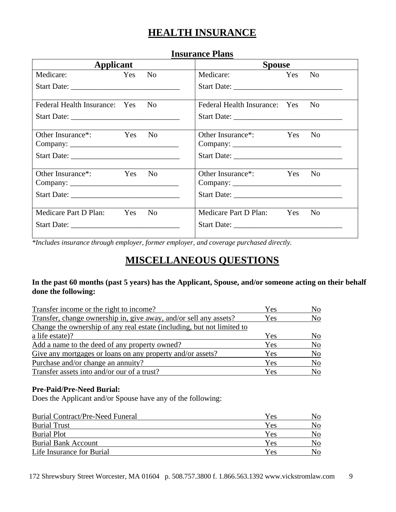## **HEALTH INSURANCE**

| msurance i iails                 |                        |                                    |        |                |
|----------------------------------|------------------------|------------------------------------|--------|----------------|
| <b>Applicant</b>                 |                        | <b>Spouse</b>                      |        |                |
| Medicare:<br>Yes                 | $\mathbf{N}\mathbf{o}$ | Medicare:                          | Yes No |                |
|                                  |                        |                                    |        |                |
| Federal Health Insurance: Yes No |                        | Federal Health Insurance: Yes      |        | N <sub>o</sub> |
|                                  |                        |                                    |        |                |
| Other Insurance*:<br>Yes No      |                        | Other Insurance <sup>*</sup> : Yes |        | N <sub>0</sub> |
|                                  |                        |                                    |        |                |
| Other Insurance*:<br>Yes         | N <sub>0</sub>         | Other Insurance <sup>*</sup> : Yes |        | N <sub>o</sub> |
|                                  |                        |                                    |        |                |
| Medicare Part D Plan:<br>Yes     | N <sub>0</sub>         | Medicare Part D Plan: Yes          |        | N <sub>0</sub> |

## **Insurance Plans**

*\*Includes insurance through employer, former employer, and coverage purchased directly.*

## **MISCELLANEOUS QUESTIONS**

### **In the past 60 months (past 5 years) has the Applicant, Spouse, and/or someone acting on their behalf done the following:**

| Transfer income or the right to income?                                | Yes | N <sub>0</sub> |
|------------------------------------------------------------------------|-----|----------------|
| Transfer, change ownership in, give away, and/or sell any assets?      | Yes | N <sub>o</sub> |
| Change the ownership of any real estate (including, but not limited to |     |                |
| a life estate)?                                                        | Yes | N <sub>o</sub> |
| Add a name to the deed of any property owned?                          | Yes | N <sub>0</sub> |
| Give any mortgages or loans on any property and/or assets?             | Yes | N <sub>o</sub> |
| Purchase and/or change an annuity?                                     | Yes | N <sub>o</sub> |
| Transfer assets into and/or our of a trust?                            | Yes | N <sub>o</sub> |

#### **Pre-Paid/Pre-Need Burial:**

Does the Applicant and/or Spouse have any of the following:

| <b>Burial Contract/Pre-Need Funeral</b> | Yes | No |
|-----------------------------------------|-----|----|
| <b>Burial Trust</b>                     | Yes | No |
| <b>Burial Plot</b>                      | Yes | No |
| <b>Burial Bank Account</b>              | Yes | Nο |
| Life Insurance for Burial               | Yes | Nο |